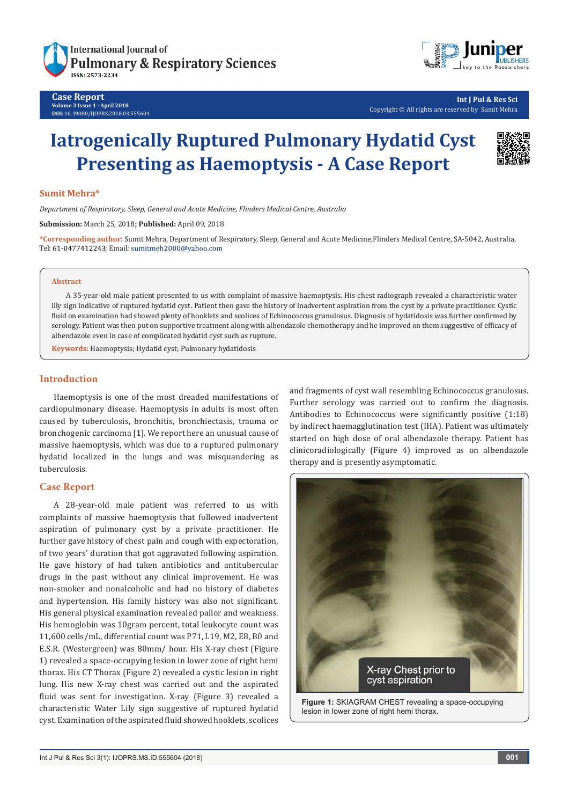

#### **Case Report Volume 3 Issue 1 - April 2018 DOI:** [10.19080/IJOPRS.2018.03.555604](http://dx.doi.org/10.19080/IJOPRS.2018.03.555604)



**Int J Pul & Res Sci** Copyright © All rights are reserved by Sumit Mehra

# **Iatrogenically Ruptured Pulmonary Hydatid Cyst Presenting as Haemoptysis - A Case Report**

### **Sumit Mehra\***

*Department of Respiratory, Sleep, General and Acute Medicine, Flinders Medical Centre, Australia*

**Submission:** March 25, 2018**; Published:** April 09, 2018

**\*Corresponding author:** Sumit Mehra, Department of Respiratory, Sleep, General and Acute Medicine,Flinders Medical Centre, SA-5042, Australia, Tel: 61-0477412243; Email: sumitmeh2000@yahoo.com

#### **Abstract**

A 35-year-old male patient presented to us with complaint of massive haemoptysis. His chest radiograph revealed a characteristic water lily sign indicative of ruptured hydatid cyst. Patient then gave the history of inadvertent aspiration from the cyst by a private practitioner. Cystic fluid on examination had showed plenty of hooklets and scolices of Echinococcus granulosus. Diagnosis of hydatidosis was further confirmed by serology. Patient was then put on supportive treatment along with albendazole chemotherapy and he improved on them suggestive of efficacy of albendazole even in case of complicated hydatid cyst such as rupture.

**Keywords:** Haemoptysis; Hydatid cyst; Pulmonary hydatidosis

### **Introduction**

Haemoptysis is one of the most dreaded manifestations of cardiopulmonary disease. Haemoptysis in adults is most often caused by tuberculosis, bronchitis, bronchiectasis, trauma or bronchogenic carcinoma [1]. We report here an unusual cause of massive haemoptysis, which was due to a ruptured pulmonary hydatid localized in the lungs and was misquandering as tuberculosis.

## **Case Report**

A 28-year-old male patient was referred to us with complaints of massive haemoptysis that followed inadvertent aspiration of pulmonary cyst by a private practitioner. He further gave history of chest pain and cough with expectoration, of two years' duration that got aggravated following aspiration. He gave history of had taken antibiotics and antitubercular drugs in the past without any clinical improvement. He was non-smoker and nonalcoholic and had no history of diabetes and hypertension. His family history was also not significant. His general physical examination revealed pallor and weakness. His hemoglobin was 10gram percent, total leukocyte count was 11,600 cells/mL, differential count was P71, L19, M2, E8, B0 and E.S.R. (Westergreen) was 80mm/ hour. His X-ray chest (Figure 1) revealed a space-occupying lesion in lower zone of right hemi thorax. His CT Thorax (Figure 2) revealed a cystic lesion in right lung. His new X-ray chest was carried out and the aspirated fluid was sent for investigation. X-ray (Figure 3) revealed a characteristic Water Lily sign suggestive of ruptured hydatid cyst. Examination of the aspirated fluid showed hooklets, scolices

and fragments of cyst wall resembling Echinococcus granulosus. Further serology was carried out to confirm the diagnosis. Antibodies to Echinococcus were significantly positive (1:18) by indirect haemagglutination test (IHA). Patient was ultimately started on high dose of oral albendazole therapy. Patient has clinicoradiologically (Figure 4) improved as on albendazole therapy and is presently asymptomatic.

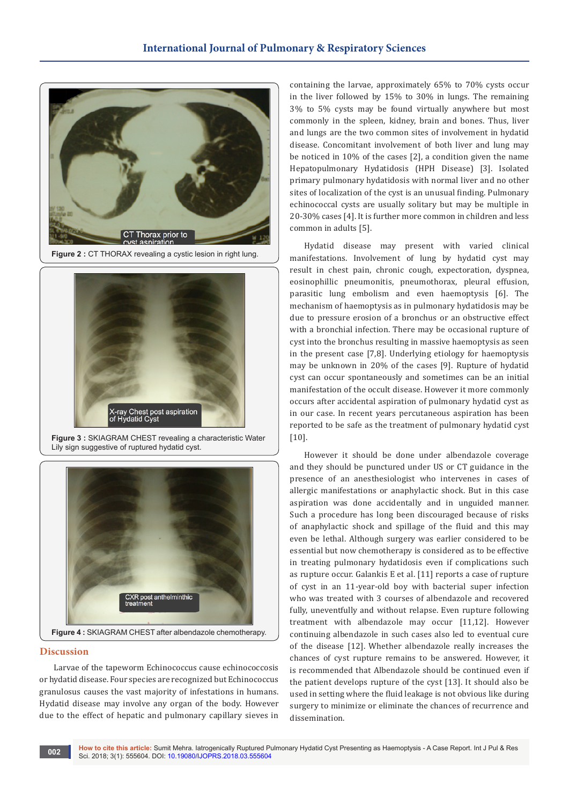

**Figure 2 : CT THORAX revealing a cystic lesion in right lung.** 



**Figure 3 :** SKIAGRAM CHEST revealing a characteristic Water Lily sign suggestive of ruptured hydatid cyst.



#### **Discussion**

Larvae of the tapeworm Echinococcus cause echinococcosis or hydatid disease. Four species are recognized but Echinococcus granulosus causes the vast majority of infestations in humans. Hydatid disease may involve any organ of the body. However due to the effect of hepatic and pulmonary capillary sieves in

containing the larvae, approximately 65% to 70% cysts occur in the liver followed by 15% to 30% in lungs. The remaining 3% to 5% cysts may be found virtually anywhere but most commonly in the spleen, kidney, brain and bones. Thus, liver and lungs are the two common sites of involvement in hydatid disease. Concomitant involvement of both liver and lung may be noticed in 10% of the cases [2], a condition given the name Hepatopulmonary Hydatidosis (HPH Disease) [3]. Isolated primary pulmonary hydatidosis with normal liver and no other sites of localization of the cyst is an unusual finding. Pulmonary echinococcal cysts are usually solitary but may be multiple in 20-30% cases [4]. It is further more common in children and less common in adults [5].

Hydatid disease may present with varied clinical manifestations. Involvement of lung by hydatid cyst may result in chest pain, chronic cough, expectoration, dyspnea, eosinophillic pneumonitis, pneumothorax, pleural effusion, parasitic lung embolism and even haemoptysis [6]. The mechanism of haemoptysis as in pulmonary hydatidosis may be due to pressure erosion of a bronchus or an obstructive effect with a bronchial infection. There may be occasional rupture of cyst into the bronchus resulting in massive haemoptysis as seen in the present case [7,8]. Underlying etiology for haemoptysis may be unknown in 20% of the cases [9]. Rupture of hydatid cyst can occur spontaneously and sometimes can be an initial manifestation of the occult disease. However it more commonly occurs after accidental aspiration of pulmonary hydatid cyst as in our case. In recent years percutaneous aspiration has been reported to be safe as the treatment of pulmonary hydatid cyst [10].

However it should be done under albendazole coverage and they should be punctured under US or CT guidance in the presence of an anesthesiologist who intervenes in cases of allergic manifestations or anaphylactic shock. But in this case aspiration was done accidentally and in unguided manner. Such a procedure has long been discouraged because of risks of anaphylactic shock and spillage of the fluid and this may even be lethal. Although surgery was earlier considered to be essential but now chemotherapy is considered as to be effective in treating pulmonary hydatidosis even if complications such as rupture occur. Galankis E et al. [11] reports a case of rupture of cyst in an 11-year-old boy with bacterial super infection who was treated with 3 courses of albendazole and recovered fully, uneventfully and without relapse. Even rupture following treatment with albendazole may occur [11,12]. However continuing albendazole in such cases also led to eventual cure of the disease [12]. Whether albendazole really increases the chances of cyst rupture remains to be answered. However, it is recommended that Albendazole should be continued even if the patient develops rupture of the cyst [13]. It should also be used in setting where the fluid leakage is not obvious like during surgery to minimize or eliminate the chances of recurrence and dissemination.